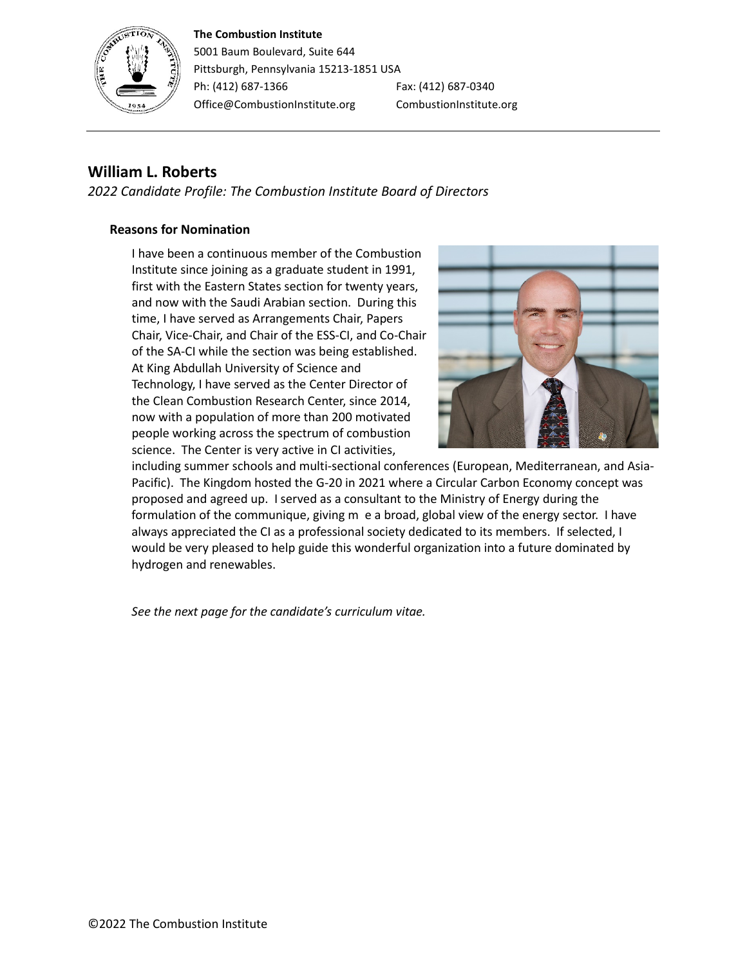#### **The Combustion Institute**



5001 Baum Boulevard, Suite 644 Pittsburgh, Pennsylvania 15213-1851 USA Ph: (412) 687-1366 Fax: (412) 687-0340 Office@CombustionInstitute.org CombustionInstitute.org

# **William L. Roberts**

*2022 Candidate Profile: The Combustion Institute Board of Directors*

#### **Reasons for Nomination**

I have been a continuous member of the Combustion Institute since joining as a graduate student in 1991, first with the Eastern States section for twenty years, and now with the Saudi Arabian section. During this time, I have served as Arrangements Chair, Papers Chair, Vice-Chair, and Chair of the ESS-CI, and Co-Chair of the SA-CI while the section was being established. At King Abdullah University of Science and Technology, I have served as the Center Director of the Clean Combustion Research Center, since 2014, now with a population of more than 200 motivated people working across the spectrum of combustion science. The Center is very active in CI activities,



including summer schools and multi-sectional conferences (European, Mediterranean, and Asia-Pacific). The Kingdom hosted the G-20 in 2021 where a Circular Carbon Economy concept was proposed and agreed up. I served as a consultant to the Ministry of Energy during the formulation of the communique, giving m e a broad, global view of the energy sector. I have always appreciated the CI as a professional society dedicated to its members. If selected, I would be very pleased to help guide this wonderful organization into a future dominated by hydrogen and renewables.

*See the next page for the candidate's curriculum vitae.*